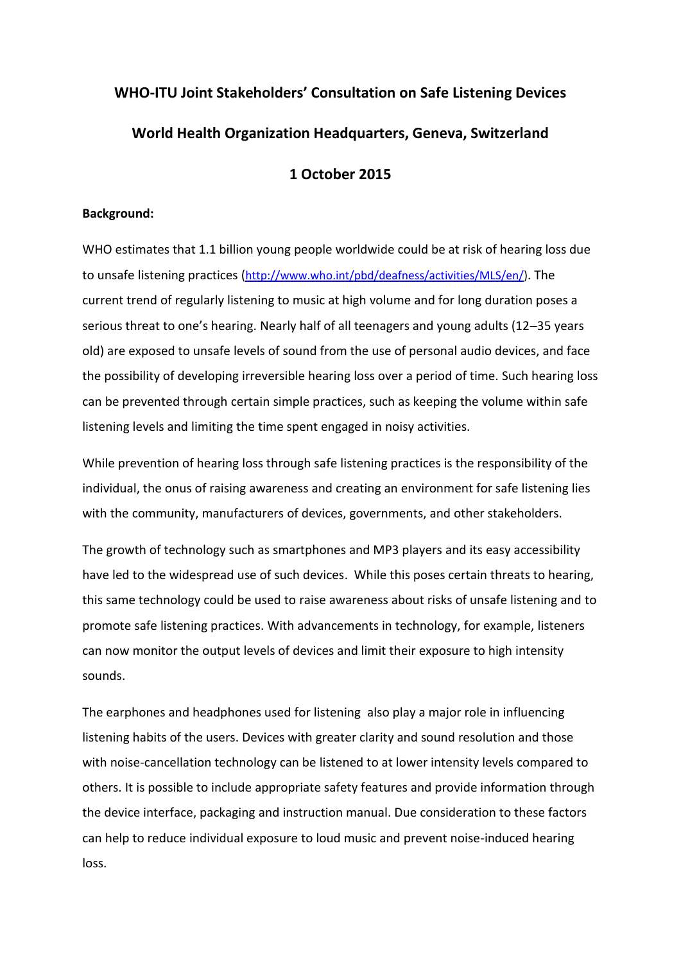# **WHO-ITU Joint Stakeholders' Consultation on Safe Listening Devices World Health Organization Headquarters, Geneva, Switzerland**

## **1 October 2015**

#### **Background:**

WHO estimates that 1.1 billion young people worldwide could be at risk of hearing loss due to unsafe listening practices ([http://www.who.int/pbd/deafness/activities/MLS/en/\)](http://www.who.int/pbd/deafness/activities/MLS/en/). The current trend of regularly listening to music at high volume and for long duration poses a serious threat to one's hearing. Nearly half of all teenagers and young adults (12-35 years old) are exposed to unsafe levels of sound from the use of personal audio devices, and face the possibility of developing irreversible hearing loss over a period of time. Such hearing loss can be prevented through certain simple practices, such as keeping the volume within safe listening levels and limiting the time spent engaged in noisy activities.

While prevention of hearing loss through safe listening practices is the responsibility of the individual, the onus of raising awareness and creating an environment for safe listening lies with the community, manufacturers of devices, governments, and other stakeholders.

The growth of technology such as smartphones and MP3 players and its easy accessibility have led to the widespread use of such devices. While this poses certain threats to hearing, this same technology could be used to raise awareness about risks of unsafe listening and to promote safe listening practices. With advancements in technology, for example, listeners can now monitor the output levels of devices and limit their exposure to high intensity sounds.

The earphones and headphones used for listening also play a major role in influencing listening habits of the users. Devices with greater clarity and sound resolution and those with noise-cancellation technology can be listened to at lower intensity levels compared to others. It is possible to include appropriate safety features and provide information through the device interface, packaging and instruction manual. Due consideration to these factors can help to reduce individual exposure to loud music and prevent noise-induced hearing loss.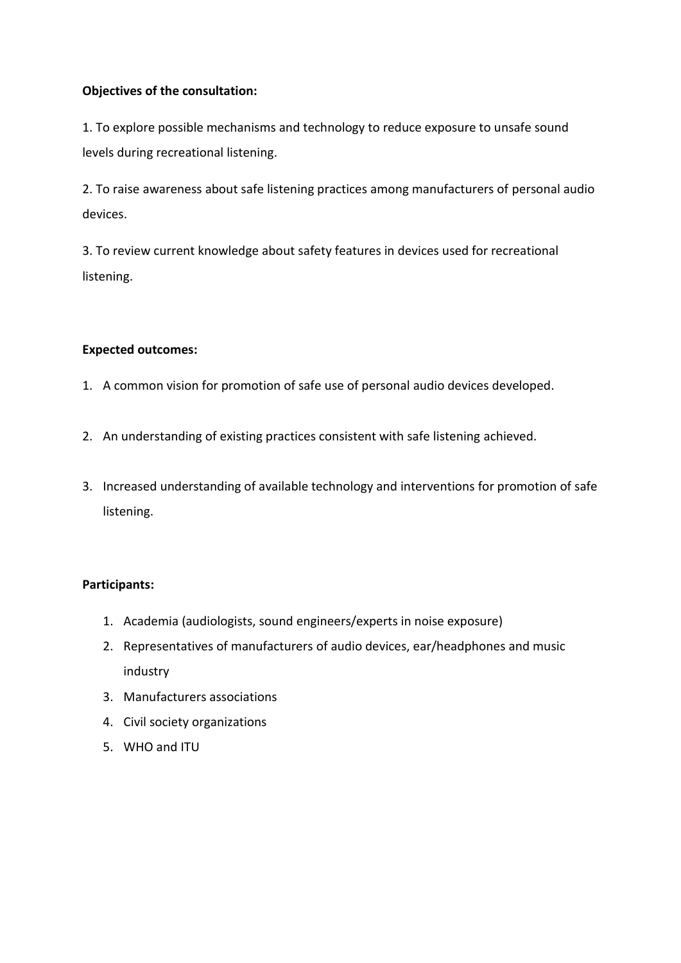## **Objectives of the consultation:**

1. To explore possible mechanisms and technology to reduce exposure to unsafe sound levels during recreational listening.

2. To raise awareness about safe listening practices among manufacturers of personal audio devices.

3. To review current knowledge about safety features in devices used for recreational listening.

## **Expected outcomes:**

- 1. A common vision for promotion of safe use of personal audio devices developed.
- 2. An understanding of existing practices consistent with safe listening achieved.
- 3. Increased understanding of available technology and interventions for promotion of safe listening.

## **Participants:**

- 1. Academia (audiologists, sound engineers/experts in noise exposure)
- 2. Representatives of manufacturers of audio devices, ear/headphones and music industry
- 3. Manufacturers associations
- 4. Civil society organizations
- 5. WHO and ITU